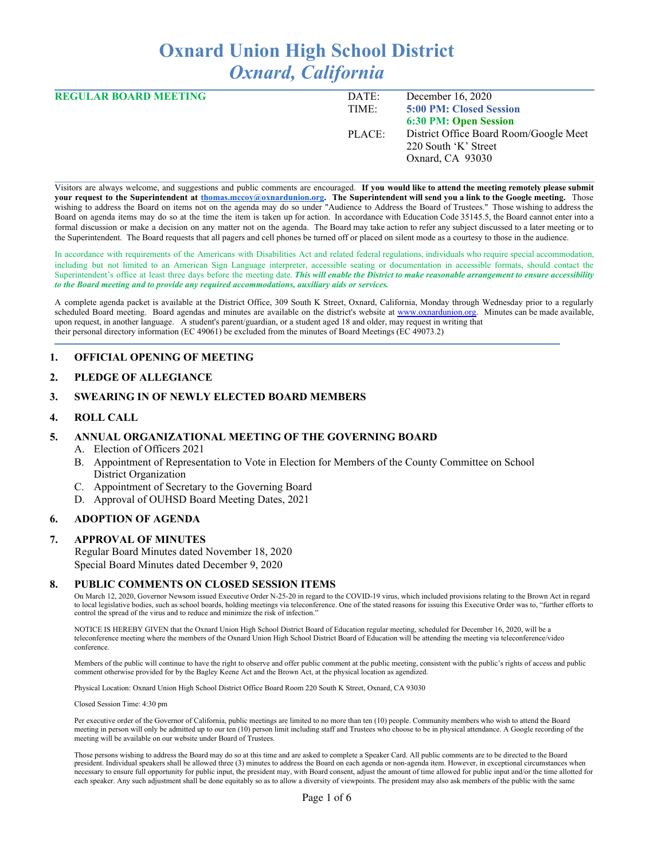# **Oxnard Union High School District** *Oxnard, California*

| <b>REGULAR BOARD MEETING</b> | DATE:  | December 16, 2020                      |
|------------------------------|--------|----------------------------------------|
|                              | TIME:  | 5:00 PM: Closed Session                |
|                              |        | <b>6:30 PM: Open Session</b>           |
|                              | PLACE: | District Office Board Room/Google Meet |
|                              |        | 220 South 'K' Street                   |
|                              |        | Oxnard, CA 93030                       |

Visitors are always welcome, and suggestions and public comments are encouraged. **If you would like to attend the meeting remotely please submit your request to the Superintendent at [thomas.mccoy@oxnardunion.org](mailto:thomas.mccoy@oxnardunion.org). The Superintendent will send you a link to the Google meeting.** Those wishing to address the Board on items not on the agenda may do so under "Audience to Address the Board of Trustees." Those wishing to address the Board on agenda items may do so at the time the item is taken up for action. In accordance with Education Code 35145.5, the Board cannot enter into a formal discussion or make a decision on any matter not on the agenda. The Board may take action to refer any subject discussed to a later meeting or to the Superintendent. The Board requests that all pagers and cell phones be turned off or placed on silent mode as a courtesy to those in the audience.

In accordance with requirements of the Americans with Disabilities Act and related federal regulations, individuals who require special accommodation, including but not limited to an American Sign Language interpreter, accessible seating or documentation in accessible formats, should contact the Superintendent's office at least three days before the meeting date. *This will enable the District to make reasonable arrangement to ensure accessibility to the Board meeting and to provide any required accommodations, auxiliary aids or services.*

A complete agenda packet is available at the District Office, 309 South K Street, Oxnard, California, Monday through Wednesday prior to a regularly scheduled Board meeting. Board agendas and minutes are available on the district's website at [www.o](http://www.o/)xnardunion.org. Minutes can be made available, upon request, in another language. A student's parent/guardian, or a student aged 18 and older, may request in writing that their personal directory information (EC 49061) be excluded from the minutes of Board Meetings (EC 49073.2)

#### **1. OFFICIAL OPENING OF MEETING**

#### **2. PLEDGE OF ALLEGIANCE**

#### **3. SWEARING IN OF NEWLY ELECTED BOARD MEMBERS**

#### **4. ROLL CALL**

#### **5. ANNUAL ORGANIZATIONAL MEETING OF THE GOVERNING BOARD**

- A. Election of Officers 2021
- B. Appointment of Representation to Vote in Election for Members of the County Committee on School District Organization
- C. Appointment of Secretary to the Governing Board
- D. Approval of OUHSD Board Meeting Dates, 2021

#### **6. ADOPTION OF AGENDA**

#### **7. APPROVAL OF MINUTES**

Regular Board Minutes dated November 18, 2020 Special Board Minutes dated December 9, 2020

#### **8. PUBLIC COMMENTS ON CLOSED SESSION ITEMS**

On March 12, 2020, Governor Newsom issued Executive Order N-25-20 in regard to the COVID-19 virus, which included provisions relating to the Brown Act in regard to local legislative bodies, such as school boards, holding meetings via teleconference. One of the stated reasons for issuing this Executive Order was to, "further efforts to control the spread of the virus and to reduce and minimize the risk of infection.'

NOTICE IS HEREBY GIVEN that the Oxnard Union High School District Board of Education regular meeting, scheduled for December 16, 2020, will be a teleconference meeting where the members of the Oxnard Union High School District Board of Education will be attending the meeting via teleconference/video conference.

Members of the public will continue to have the right to observe and offer public comment at the public meeting, consistent with the public's rights of access and public comment otherwise provided for by the Bagley Keene Act and the Brown Act, at the physical location as agendized.

Physical Location: Oxnard Union High School District Office Board Room 220 South K Street, Oxnard, CA 93030

Closed Session Time: 4:30 pm

Per executive order of the Governor of California, public meetings are limited to no more than ten (10) people. Community members who wish to attend the Board meeting in person will only be admitted up to our ten (10) person limit including staff and Trustees who choose to be in physical attendance. A Google recording of the meeting will be available on our website under Board of Trustees.

Those persons wishing to address the Board may do so at this time and are asked to complete a Speaker Card. All public comments are to be directed to the Board president. Individual speakers shall be allowed three (3) minutes to address the Board on each agenda or non-agenda item. However, in exceptional circumstances when necessary to ensure full opportunity for public input, the president may, with Board consent, adjust the amount of time allowed for public input and/or the time allotted for each speaker. Any such adjustment shall be done equitably so as to allow a diversity of viewpoints. The president may also ask members of the public with the same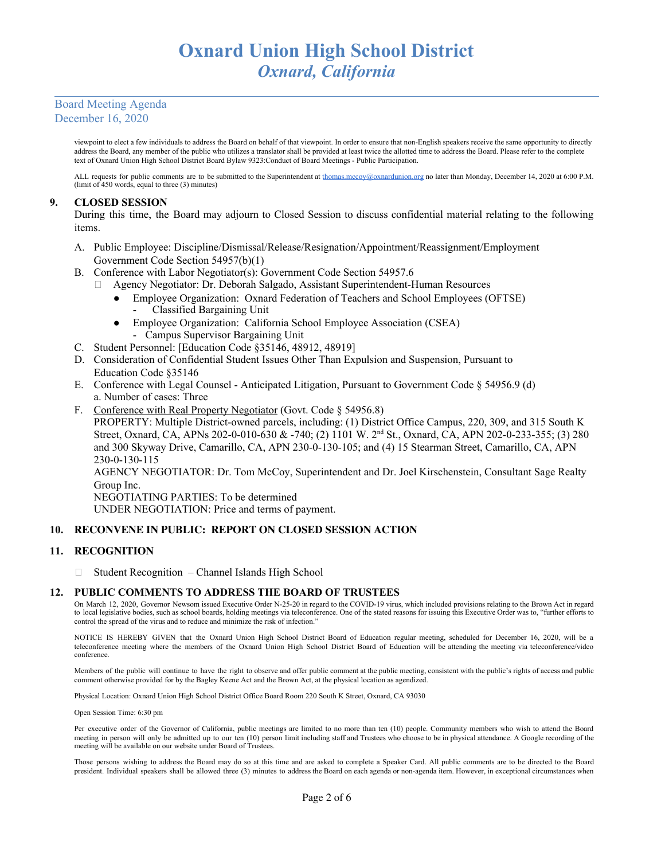viewpoint to elect a few individuals to address the Board on behalf of that viewpoint. In order to ensure that non-English speakers receive the same opportunity to directly address the Board, any member of the public who utilizes a translator shall be provided at least twice the allotted time to address the Board. Please refer to the complete text of Oxnard Union High School District Board Bylaw 9323:Conduct of Board Meetings - Public Participation.

ALL requests for public comments are to be submitted to the Superintendent at [thomas.mccoy@oxnardunion.org](mailto:thomas.mccoy@oxnardunion.org) no later than Monday, December 14, 2020 at 6:00 P.M. (limit of 450 words, equal to three (3) minutes)

## **9. CLOSED SESSION**

During this time, the Board may adjourn to Closed Session to discuss confidential material relating to the following items.

- A. Public Employee: Discipline/Dismissal/Release/Resignation/Appointment/Reassignment/Employment Government Code Section 54957(b)(1)
- B. Conference with Labor Negotiator(s): Government Code Section 54957.6
	- Agency Negotiator: Dr. Deborah Salgado, Assistant Superintendent-Human Resources
		- Employee Organization: Oxnard Federation of Teachers and School Employees (OFTSE)
			- Classified Bargaining Unit
		- Employee Organization: California School Employee Association (CSEA) - Campus Supervisor Bargaining Unit
- C. Student Personnel: [Education Code §35146, 48912, 48919]
- D. Consideration of Confidential Student Issues Other Than Expulsion and Suspension, Pursuant to Education Code §35146
- E. Conference with Legal Counsel Anticipated Litigation, Pursuant to Government Code § 54956.9 (d) a. Number of cases: Three
- F. Conference with Real Property Negotiator (Govt. Code § 54956.8) PROPERTY: Multiple District-owned parcels, including: (1) District Office Campus, 220, 309, and 315 South K Street, Oxnard, CA, APNs 202-0-010-630 & -740; (2) 1101 W. 2<sup>nd</sup> St., Oxnard, CA, APN 202-0-233-355; (3) 280 and 300 Skyway Drive, Camarillo, CA, APN 230-0-130-105; and (4) 15 Stearman Street, Camarillo, CA, APN 230-0-130-115 AGENCY NEGOTIATOR: Dr. Tom McCoy, Superintendent and Dr. Joel Kirschenstein, Consultant Sage Realty Group Inc. NEGOTIATING PARTIES: To be determined UNDER NEGOTIATION: Price and terms of payment.

#### **10. RECONVENE IN PUBLIC: REPORT ON CLOSED SESSION ACTION**

#### **11. RECOGNITION**

□ Student Recognition – Channel Islands High School

#### **12. PUBLIC COMMENTS TO ADDRESS THE BOARD OF TRUSTEES**

On March 12, 2020, Governor Newsom issued Executive Order N-25-20 in regard to the COVID-19 virus, which included provisions relating to the Brown Act in regard to local legislative bodies, such as school boards, holding meetings via teleconference. One of the stated reasons for issuing this Executive Order was to, "further efforts to control the spread of the virus and to reduce and minimize the risk of infection."

NOTICE IS HEREBY GIVEN that the Oxnard Union High School District Board of Education regular meeting, scheduled for December 16, 2020, will be a teleconference meeting where the members of the Oxnard Union High School District Board of Education will be attending the meeting via teleconference/video conference.

Members of the public will continue to have the right to observe and offer public comment at the public meeting, consistent with the public's rights of access and public comment otherwise provided for by the Bagley Keene Act and the Brown Act, at the physical location as agendized.

Physical Location: Oxnard Union High School District Office Board Room 220 South K Street, Oxnard, CA 93030

Open Session Time: 6:30 pm

Per executive order of the Governor of California, public meetings are limited to no more than ten (10) people. Community members who wish to attend the Board meeting in person will only be admitted up to our ten (10) person limit including staff and Trustees who choose to be in physical attendance. A Google recording of the meeting will be available on our website under Board of Trustees.

Those persons wishing to address the Board may do so at this time and are asked to complete a Speaker Card. All public comments are to be directed to the Board president. Individual speakers shall be allowed three (3) minutes to address the Board on each agenda or non-agenda item. However, in exceptional circumstances when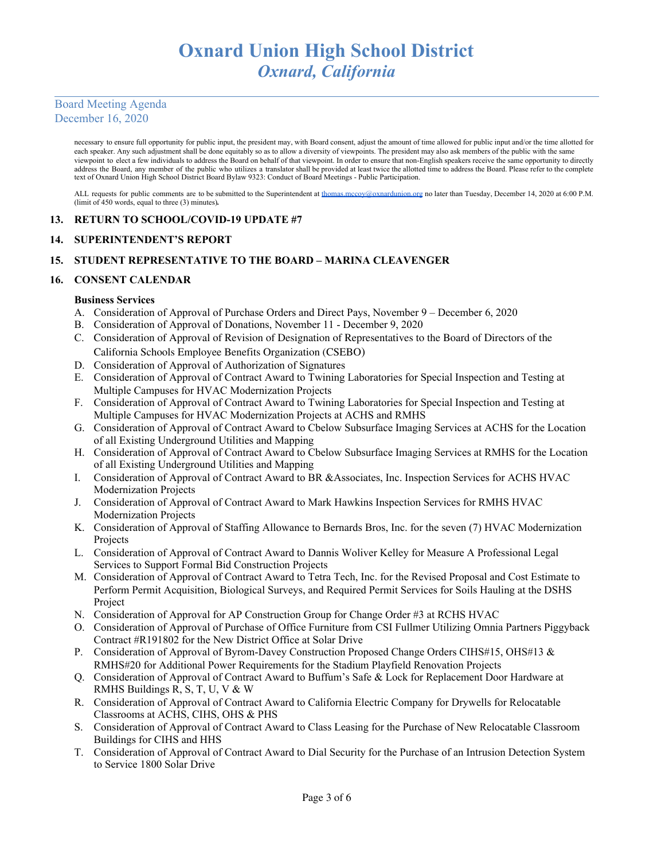necessary to ensure full opportunity for public input, the president may, with Board consent, adjust the amount of time allowed for public input and/or the time allotted for each speaker. Any such adjustment shall be done equitably so as to allow a diversity of viewpoints. The president may also ask members of the public with the same viewpoint to elect a few individuals to address the Board on behalf of that viewpoint. In order to ensure that non-English speakers receive the same opportunity to directly address the Board, any member of the public who utilizes a translator shall be provided at least twice the allotted time to address the Board. Please refer to the complete text of Oxnard Union High School District Board Bylaw 9323: Conduct of Board Meetings - Public Participation.

ALL requests for public comments are to be submitted to the Superintendent at [thomas.mccoy@oxnardunion.org](mailto:thomas.mccoy@oxnardunion.org) no later than Tuesday, December 14, 2020 at 6:00 P.M. (limit of 450 words, equal to three (3) minutes)*.*

## **13. RETURN TO SCHOOL/COVID-19 UPDATE #7**

#### **14. SUPERINTENDENT'S REPORT**

# **15. STUDENT REPRESENTATIVE TO THE BOARD – MARINA CLEAVENGER**

#### **16. CONSENT CALENDAR**

#### **Business Services**

- A. Consideration of Approval of Purchase Orders and Direct Pays, November 9 December 6, 2020
- B. Consideration of Approval of Donations, November 11 December 9, 2020
- C. Consideration of Approval of Revision of Designation of Representatives to the Board of Directors of the California Schools Employee Benefits Organization (CSEBO)
- D. Consideration of Approval of Authorization of Signatures
- E. Consideration of Approval of Contract Award to Twining Laboratories for Special Inspection and Testing at Multiple Campuses for HVAC Modernization Projects
- F. Consideration of Approval of Contract Award to Twining Laboratories for Special Inspection and Testing at Multiple Campuses for HVAC Modernization Projects at ACHS and RMHS
- G. Consideration of Approval of Contract Award to Cbelow Subsurface Imaging Services at ACHS for the Location of all Existing Underground Utilities and Mapping
- H. Consideration of Approval of Contract Award to Cbelow Subsurface Imaging Services at RMHS for the Location of all Existing Underground Utilities and Mapping
- I. Consideration of Approval of Contract Award to BR &Associates, Inc. Inspection Services for ACHS HVAC Modernization Projects
- J. Consideration of Approval of Contract Award to Mark Hawkins Inspection Services for RMHS HVAC Modernization Projects
- K. Consideration of Approval of Staffing Allowance to Bernards Bros, Inc. for the seven (7) HVAC Modernization Projects
- L. Consideration of Approval of Contract Award to Dannis Woliver Kelley for Measure A Professional Legal Services to Support Formal Bid Construction Projects
- M. Consideration of Approval of Contract Award to Tetra Tech, Inc. for the Revised Proposal and Cost Estimate to Perform Permit Acquisition, Biological Surveys, and Required Permit Services for Soils Hauling at the DSHS Project
- N. Consideration of Approval for AP Construction Group for Change Order #3 at RCHS HVAC
- O. Consideration of Approval of Purchase of Office Furniture from CSI Fullmer Utilizing Omnia Partners Piggyback Contract #R191802 for the New District Office at Solar Drive
- P. Consideration of Approval of Byrom-Davey Construction Proposed Change Orders CIHS#15, OHS#13 & RMHS#20 for Additional Power Requirements for the Stadium Playfield Renovation Projects
- Q. Consideration of Approval of Contract Award to Buffum's Safe & Lock for Replacement Door Hardware at RMHS Buildings R, S, T, U, V & W
- R. Consideration of Approval of Contract Award to California Electric Company for Drywells for Relocatable Classrooms at ACHS, CIHS, OHS & PHS
- S. Consideration of Approval of Contract Award to Class Leasing for the Purchase of New Relocatable Classroom Buildings for CIHS and HHS
- T. Consideration of Approval of Contract Award to Dial Security for the Purchase of an Intrusion Detection System to Service 1800 Solar Drive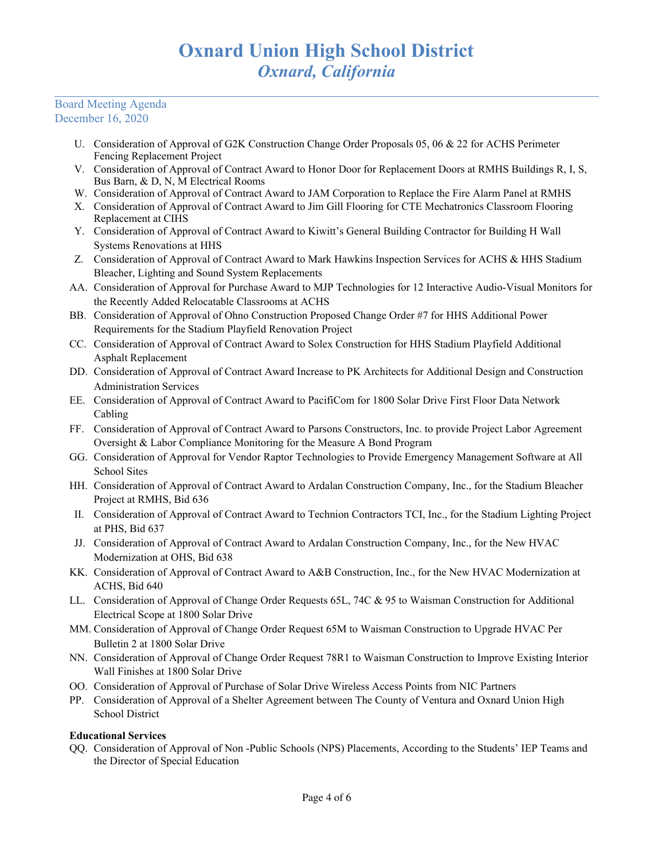- U. Consideration of Approval of G2K Construction Change Order Proposals 05, 06 & 22 for ACHS Perimeter Fencing Replacement Project
- V. Consideration of Approval of Contract Award to Honor Door for Replacement Doors at RMHS Buildings R, I, S, Bus Barn, & D, N, M Electrical Rooms
- W. Consideration of Approval of Contract Award to JAM Corporation to Replace the Fire Alarm Panel at RMHS
- X. Consideration of Approval of Contract Award to Jim Gill Flooring for CTE Mechatronics Classroom Flooring Replacement at CIHS
- Y. Consideration of Approval of Contract Award to Kiwitt's General Building Contractor for Building H Wall Systems Renovations at HHS
- Z. Consideration of Approval of Contract Award to Mark Hawkins Inspection Services for ACHS & HHS Stadium Bleacher, Lighting and Sound System Replacements
- AA. Consideration of Approval for Purchase Award to MJP Technologies for 12 Interactive Audio-Visual Monitors for the Recently Added Relocatable Classrooms at ACHS
- BB. Consideration of Approval of Ohno Construction Proposed Change Order #7 for HHS Additional Power Requirements for the Stadium Playfield Renovation Project
- CC. Consideration of Approval of Contract Award to Solex Construction for HHS Stadium Playfield Additional Asphalt Replacement
- DD. Consideration of Approval of Contract Award Increase to PK Architects for Additional Design and Construction Administration Services
- EE. Consideration of Approval of Contract Award to PacifiCom for 1800 Solar Drive First Floor Data Network Cabling
- FF. Consideration of Approval of Contract Award to Parsons Constructors, Inc. to provide Project Labor Agreement Oversight & Labor Compliance Monitoring for the Measure A Bond Program
- GG. Consideration of Approval for Vendor Raptor Technologies to Provide Emergency Management Software at All School Sites
- HH. Consideration of Approval of Contract Award to Ardalan Construction Company, Inc., for the Stadium Bleacher Project at RMHS, Bid 636
- II. Consideration of Approval of Contract Award to Technion Contractors TCI, Inc., for the Stadium Lighting Project at PHS, Bid 637
- JJ. Consideration of Approval of Contract Award to Ardalan Construction Company, Inc., for the New HVAC Modernization at OHS, Bid 638
- KK. Consideration of Approval of Contract Award to A&B Construction, Inc., for the New HVAC Modernization at ACHS, Bid 640
- LL. Consideration of Approval of Change Order Requests 65L, 74C & 95 to Waisman Construction for Additional Electrical Scope at 1800 Solar Drive
- MM. Consideration of Approval of Change Order Request 65M to Waisman Construction to Upgrade HVAC Per Bulletin 2 at 1800 Solar Drive
- NN. Consideration of Approval of Change Order Request 78R1 to Waisman Construction to Improve Existing Interior Wall Finishes at 1800 Solar Drive
- OO. Consideration of Approval of Purchase of Solar Drive Wireless Access Points from NIC Partners
- PP. Consideration of Approval of a Shelter Agreement between The County of Ventura and Oxnard Union High School District

# **Educational Services**

QQ. Consideration of Approval of Non -Public Schools (NPS) Placements, According to the Students' IEP Teams and the Director of Special Education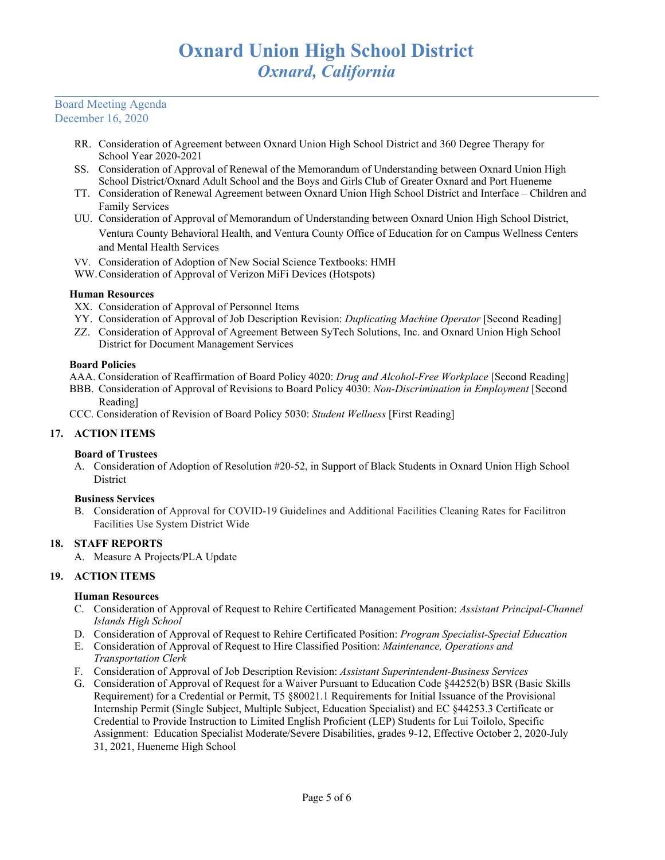- RR. Consideration of Agreement between Oxnard Union High School District and 360 Degree Therapy for School Year 2020-2021
- SS. Consideration of Approval of Renewal of the Memorandum of Understanding between Oxnard Union High School District/Oxnard Adult School and the Boys and Girls Club of Greater Oxnard and Port Hueneme
- TT. Consideration of Renewal Agreement between Oxnard Union High School District and Interface Children and Family Services
- UU. Consideration of Approval of Memorandum of Understanding between Oxnard Union High School District, Ventura County Behavioral Health, and Ventura County Office of Education for on Campus Wellness Centers and Mental Health Services
- VV. Consideration of Adoption of New Social Science Textbooks: HMH
- WW.Consideration of Approval of Verizon MiFi Devices (Hotspots)

## **Human Resources**

- XX. Consideration of Approval of Personnel Items
- YY. Consideration of Approval of Job Description Revision: *Duplicating Machine Operator* [Second Reading]
- ZZ. Consideration of Approval of Agreement Between SyTech Solutions, Inc. and Oxnard Union High School District for Document Management Services

## **Board Policies**

- AAA. Consideration of Reaffirmation of Board Policy 4020: *Drug and Alcohol-Free Workplace* [Second Reading]
- BBB. Consideration of Approval of Revisions to Board Policy 4030: *Non-Discrimination in Employment* [Second Reading]
- CCC. Consideration of Revision of Board Policy 5030: *Student Wellness* [First Reading]

# **17. ACTION ITEMS**

# **Board of Trustees**

A. Consideration of Adoption of Resolution #20-52, in Support of Black Students in Oxnard Union High School **District** 

#### **Business Services**

B. Consideration of Approval for COVID-19 Guidelines and Additional Facilities Cleaning Rates for Facilitron Facilities Use System District Wide

# **18. STAFF REPORTS**

A. Measure A Projects/PLA Update

# **19. ACTION ITEMS**

# **Human Resources**

- C. Consideration of Approval of Request to Rehire Certificated Management Position: *Assistant Principal-Channel Islands High School*
- D. Consideration of Approval of Request to Rehire Certificated Position: *Program Specialist-Special Education*
- E. Consideration of Approval of Request to Hire Classified Position: *Maintenance, Operations and Transportation Clerk*
- F. Consideration of Approval of Job Description Revision: *Assistant Superintendent-Business Services*
- G. Consideration of Approval of Request for a Waiver Pursuant to Education Code §44252(b) BSR (Basic Skills Requirement) for a Credential or Permit, T5 §80021.1 Requirements for Initial Issuance of the Provisional Internship Permit (Single Subject, Multiple Subject, Education Specialist) and EC §44253.3 Certificate or Credential to Provide Instruction to Limited English Proficient (LEP) Students for Lui Toilolo, Specific Assignment: Education Specialist Moderate/Severe Disabilities, grades 9-12, Effective October 2, 2020-July 31, 2021, Hueneme High School